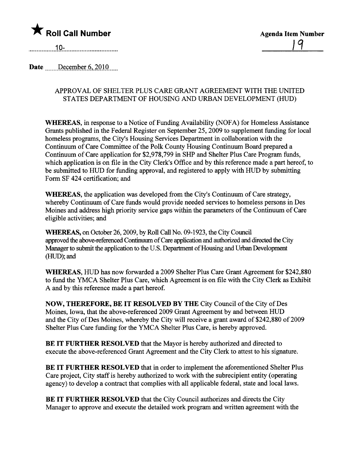

 $10-$ 

Date  $December 6, 2010$ 

## APPROVAL OF SHELTER PLUS CARE GRANT AGREEMENT WITH THE UNITED STATES DEPARTMENT OF HOUSING AND URBAN DEVELOPMENT (HUD)

WHEREAS, in response to a Notice of Funding Availability (NOFA) for Homeless Assistance Grants published in the Federal Register on September 25,2009 to supplement fuding for local homeless programs, the City's Housing Services Deparment in collaboration with the Continuum of Care Committee of the Polk County Housing Continuum Board prepared a Continuum of Care application for \$2,978,799 in SHP and Shelter Plus Care Program fuds, which application is on file in the City Clerk's Office and by this reference made a part hereof, to be submitted to HUD for fuding approval, and registered to apply with HUD by submitting Form SF 424 certification; and

WHEREAS, the application was developed from the City's Continuum of Care strategy, whereby Continuum of Care fuds would provide needed services to homeless persons in Des Moines and address high priority service gaps within the parameters of the Continuum of Care eligible activities; and

WHEREAS, on October 26, 2009, by Roll Call No. 09-1923, the City Council approved the above-referenced Continuum of Care application and authorized and directed the City Manager to submit the application to the U.S. Department of Housing and Urban Development  $(HUD)$ ; and

WHEREAS, HUD has now forwarded a 2009 Shelter Plus Care Grant Agreement for \$242,880 to fud the YMCA Shelter Plus Care, which Agreement is on file with the City Clerk as Exhbit A and by this reference made a part hereof.

NOW, THEREFORE, BE IT RESOLVED BY THE City Council of the City of Des Moines, Iowa, that the above-referenced 2009 Grant Agreement by and between HUD and the City of Des Moines, whereby the City will receive a grant award of \$242,880 of 2009 Shelter Plus Care fuding for the YMCA Shelter Plus Care, is hereby approved.

**BE IT FURTHER RESOLVED** that the Mayor is hereby authorized and directed to execute the above-referenced Grant Agreement and the City Clerk to attest to his signatue.

BE IT FURTHER RESOLVED that in order to implement the aforementioned Shelter Plus Care project, City staff is hereby authorized to work with the subrecipient entity (operating agency) to develop a contract that complies with all applicable federal, state and local laws.

BE IT FURTHER RESOLVED that the City Council authorizes and directs the City Manager to approve and execute the detailed work program and written agreement with the